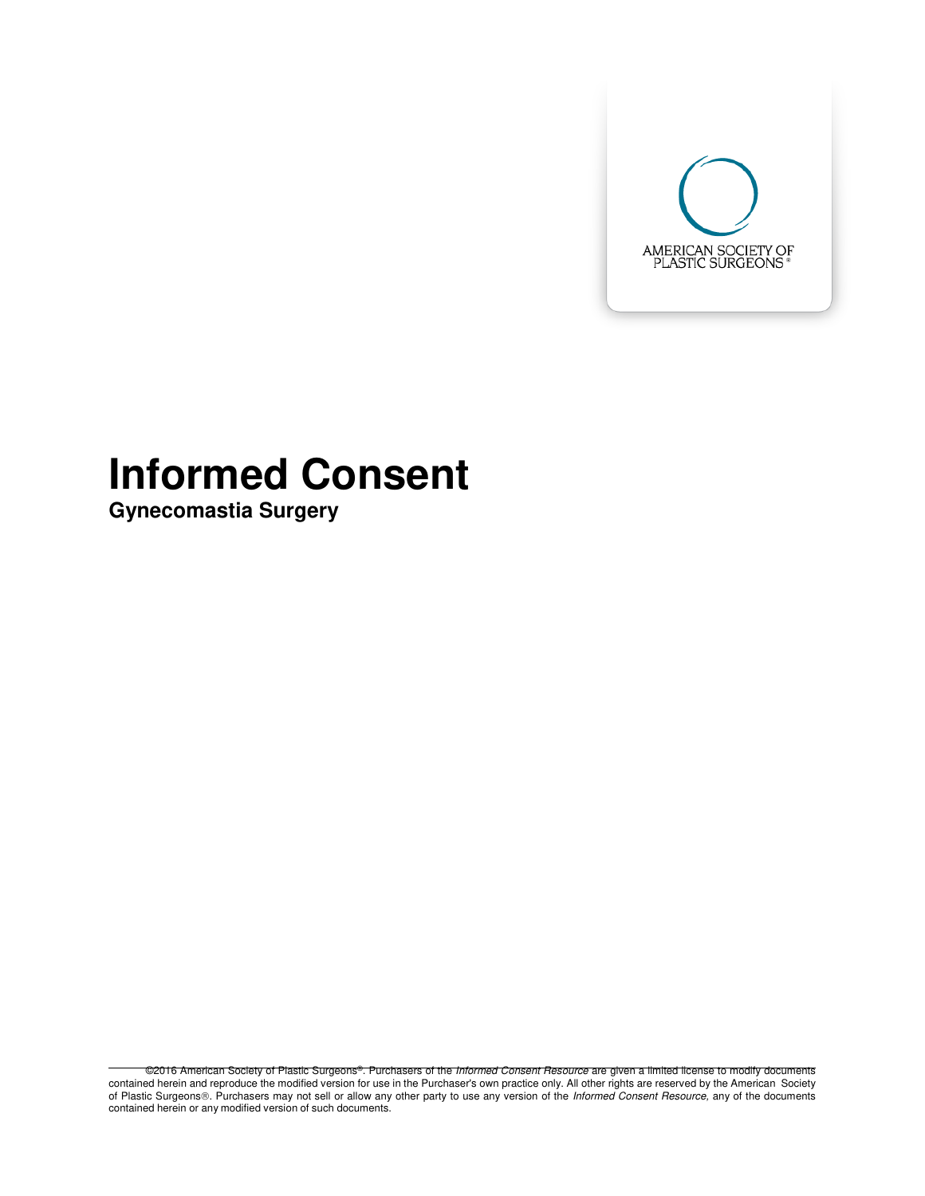

# **Informed Consent**

**Gynecomastia Surgery**

©2016 American Society of Plastic Surgeons®. Purchasers of the Informed Consent Resource are given a limited license to modify documents contained herein and reproduce the modified version for use in the Purchaser's own practice only. All other rights are reserved by the American Society of Plastic Surgeons®. Purchasers may not sell or allow any other party to use any version of the Informed Consent Resource, any of the documents contained herein or any modified version of such documents.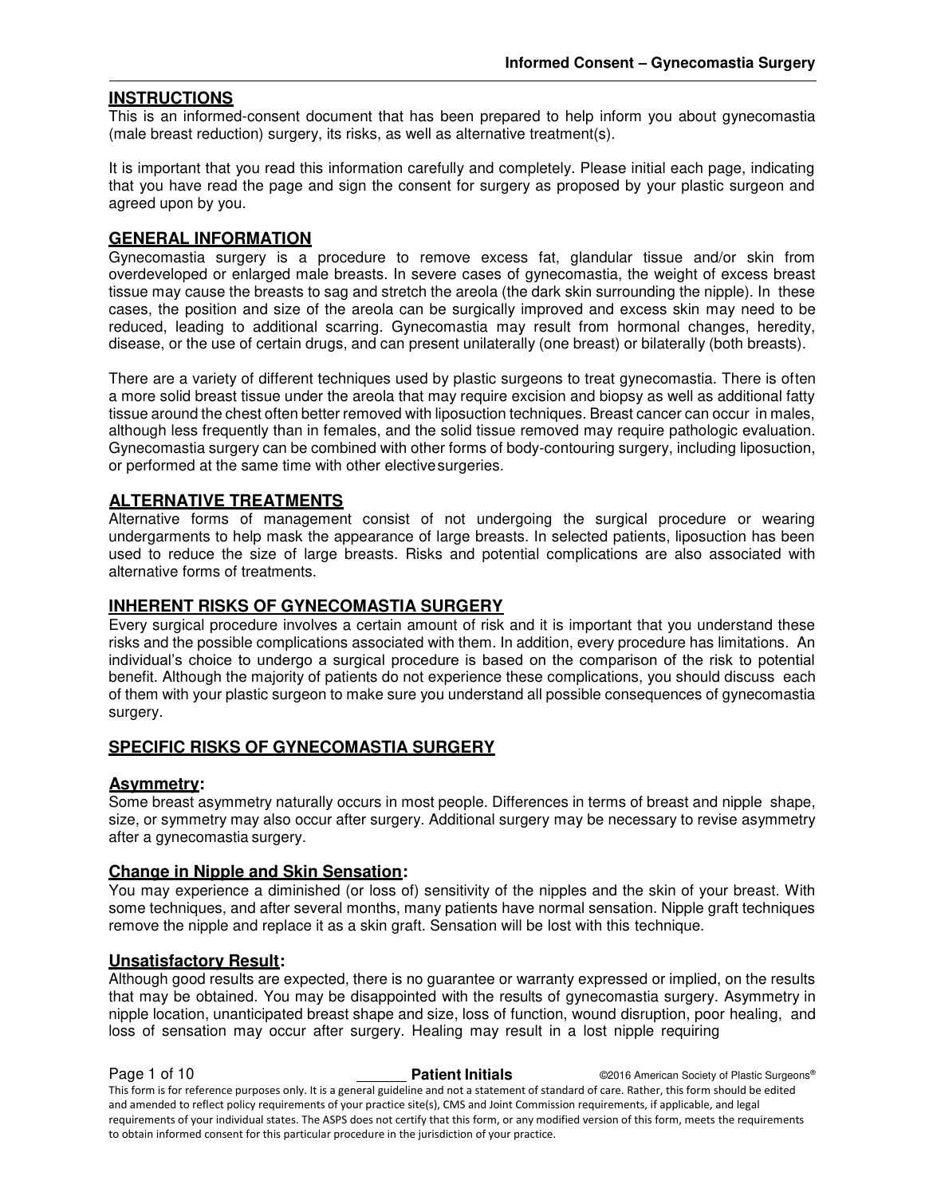#### **INSTRUCTIONS**

This is an informed-consent document that has been prepared to help inform you about gynecomastia (male breast reduction) surgery, its risks, as well as alternative treatment(s).

It is important that you read this information carefully and completely. Please initial each page, indicating that you have read the page and sign the consent for surgery as proposed by your plastic surgeon and agreed upon by you.

#### **GENERAL INFORMATION**

Gynecomastia surgery is a procedure to remove excess fat, glandular tissue and/or skin from overdeveloped or enlarged male breasts. In severe cases of gynecomastia, the weight of excess breast tissue may cause the breasts to sag and stretch the areola (the dark skin surrounding the nipple). In these cases, the position and size of the areola can be surgically improved and excess skin may need to be reduced, leading to additional scarring. Gynecomastia may result from hormonal changes, heredity, disease, or the use of certain drugs, and can present unilaterally (one breast) or bilaterally (both breasts).

There are a variety of different techniques used by plastic surgeons to treat gynecomastia. There is often a more solid breast tissue under the areola that may require excision and biopsy as well as additional fatty tissue around the chest often better removed with liposuction techniques. Breast cancer can occur in males, although less frequently than in females, and the solid tissue removed may require pathologic evaluation. Gynecomastia surgery can be combined with other forms of body-contouring surgery, including liposuction, or performed at the same time with other elective surgeries.

### **ALTERNATIVE TREATMENTS**

Alternative forms of management consist of not undergoing the surgical procedure or wearing undergarments to help mask the appearance of large breasts. In selected patients, liposuction has been used to reduce the size of large breasts. Risks and potential complications are also associated with alternative forms of treatments.

#### **INHERENT RISKS OF GYNECOMASTIA SURGERY**

Every surgical procedure involves a certain amount of risk and it is important that you understand these risks and the possible complications associated with them. In addition, every procedure has limitations. An individual's choice to undergo a surgical procedure is based on the comparison of the risk to potential benefit. Although the majority of patients do not experience these complications, you should discuss each of them with your plastic surgeon to make sure you understand all possible consequences of gynecomastia surgery.

#### **SPECIFIC RISKS OF GYNECOMASTIA SURGERY**

#### **Asymmetry:**

Some breast asymmetry naturally occurs in most people. Differences in terms of breast and nipple shape, size, or symmetry may also occur after surgery. Additional surgery may be necessary to revise asymmetry after a gynecomastia surgery.

#### **Change in Nipple and Skin Sensation:**

You may experience a diminished (or loss of) sensitivity of the nipples and the skin of your breast. With some techniques, and after several months, many patients have normal sensation. Nipple graft techniques remove the nipple and replace it as a skin graft. Sensation will be lost with this technique.

#### **Unsatisfactory Result:**

Although good results are expected, there is no guarantee or warranty expressed or implied, on the results that may be obtained. You may be disappointed with the results of gynecomastia surgery. Asymmetry in nipple location, unanticipated breast shape and size, loss of function, wound disruption, poor healing, and loss of sensation may occur after surgery. Healing may result in a lost nipple requiring

**Page 1 of 10 Patient Initials COVIDENT COVIDENT OP A COVIDENT OP A COVID-** COVID-BASIC Surgeons<sup>®</sup> This form is for reference purposes only. It is a general guideline and not a statement of standard of care. Rather, this form should be edited and amended to reflect policy requirements of your practice site(s), CMS and Joint Commission requirements, if applicable, and legal requirements of your individual states. The ASPS does not certify that this form, or any modified version of this form, meets the requirements to obtain informed consent for this particular procedure in the jurisdiction of your practice.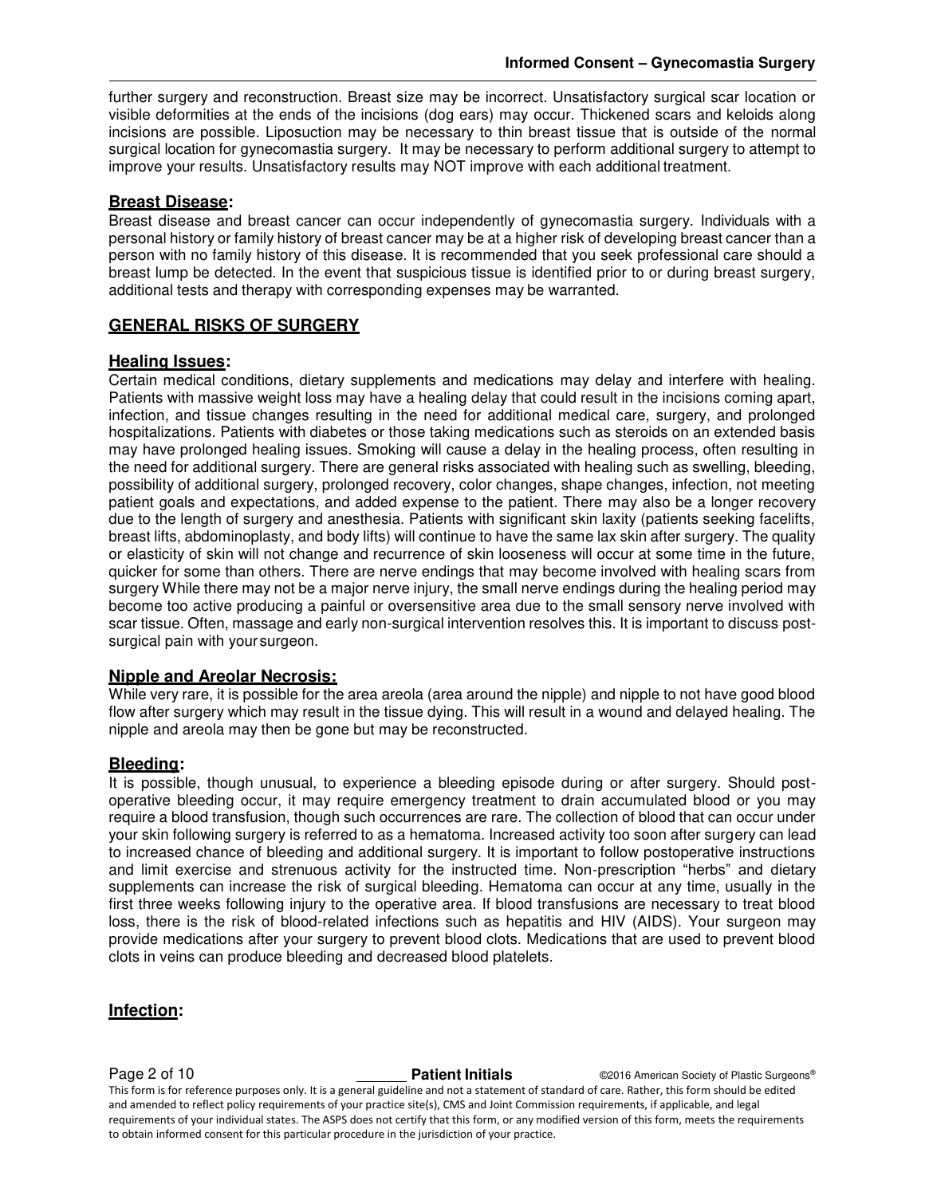further surgery and reconstruction. Breast size may be incorrect. Unsatisfactory surgical scar location or visible deformities at the ends of the incisions (dog ears) may occur. Thickened scars and keloids along incisions are possible. Liposuction may be necessary to thin breast tissue that is outside of the normal surgical location for gynecomastia surgery. It may be necessary to perform additional surgery to attempt to improve your results. Unsatisfactory results may NOT improve with each additional treatment.

#### **Breast Disease:**

Breast disease and breast cancer can occur independently of gynecomastia surgery. Individuals with a personal history or family history of breast cancer may be at a higher risk of developing breast cancer than a person with no family history of this disease. It is recommended that you seek professional care should a breast lump be detected. In the event that suspicious tissue is identified prior to or during breast surgery, additional tests and therapy with corresponding expenses may be warranted.

#### **GENERAL RISKS OF SURGERY**

#### **Healing Issues:**

Certain medical conditions, dietary supplements and medications may delay and interfere with healing. Patients with massive weight loss may have a healing delay that could result in the incisions coming apart, infection, and tissue changes resulting in the need for additional medical care, surgery, and prolonged hospitalizations. Patients with diabetes or those taking medications such as steroids on an extended basis may have prolonged healing issues. Smoking will cause a delay in the healing process, often resulting in the need for additional surgery. There are general risks associated with healing such as swelling, bleeding, possibility of additional surgery, prolonged recovery, color changes, shape changes, infection, not meeting patient goals and expectations, and added expense to the patient. There may also be a longer recovery due to the length of surgery and anesthesia. Patients with significant skin laxity (patients seeking facelifts, breast lifts, abdominoplasty, and body lifts) will continue to have the same lax skin after surgery. The quality or elasticity of skin will not change and recurrence of skin looseness will occur at some time in the future, quicker for some than others. There are nerve endings that may become involved with healing scars from surgery While there may not be a major nerve injury, the small nerve endings during the healing period may become too active producing a painful or oversensitive area due to the small sensory nerve involved with scar tissue. Often, massage and early non-surgical intervention resolves this. It is important to discuss postsurgical pain with your surgeon.

#### **Nipple and Areolar Necrosis:**

While very rare, it is possible for the area areola (area around the nipple) and nipple to not have good blood flow after surgery which may result in the tissue dying. This will result in a wound and delayed healing. The nipple and areola may then be gone but may be reconstructed.

#### **Bleeding:**

It is possible, though unusual, to experience a bleeding episode during or after surgery. Should postoperative bleeding occur, it may require emergency treatment to drain accumulated blood or you may require a blood transfusion, though such occurrences are rare. The collection of blood that can occur under your skin following surgery is referred to as a hematoma. Increased activity too soon after surgery can lead to increased chance of bleeding and additional surgery. It is important to follow postoperative instructions and limit exercise and strenuous activity for the instructed time. Non-prescription "herbs" and dietary supplements can increase the risk of surgical bleeding. Hematoma can occur at any time, usually in the first three weeks following injury to the operative area. If blood transfusions are necessary to treat blood loss, there is the risk of blood-related infections such as hepatitis and HIV (AIDS). Your surgeon may provide medications after your surgery to prevent blood clots. Medications that are used to prevent blood clots in veins can produce bleeding and decreased blood platelets.

#### **Infection:**

**Page 2 of 10 Patient Initials COVID-2016** American Society of Plastic Surgeons® This form is for reference purposes only. It is a general guideline and not a statement of standard of care. Rather, this form should be edited and amended to reflect policy requirements of your practice site(s), CMS and Joint Commission requirements, if applicable, and legal requirements of your individual states. The ASPS does not certify that this form, or any modified version of this form, meets the requirements to obtain informed consent for this particular procedure in the jurisdiction of your practice.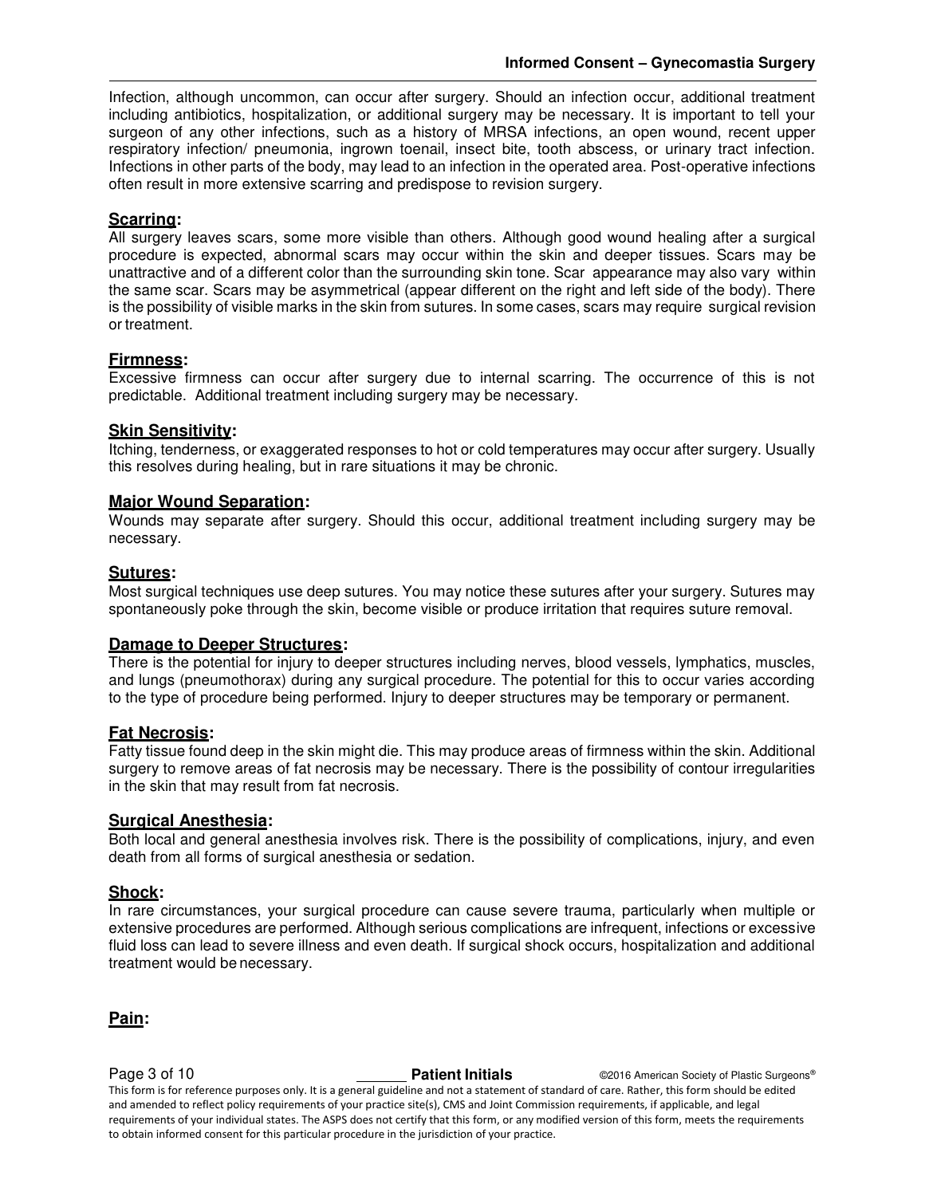Infection, although uncommon, can occur after surgery. Should an infection occur, additional treatment including antibiotics, hospitalization, or additional surgery may be necessary. It is important to tell your surgeon of any other infections, such as a history of MRSA infections, an open wound, recent upper respiratory infection/ pneumonia, ingrown toenail, insect bite, tooth abscess, or urinary tract infection. Infections in other parts of the body, may lead to an infection in the operated area. Post-operative infections often result in more extensive scarring and predispose to revision surgery.

#### **Scarring:**

All surgery leaves scars, some more visible than others. Although good wound healing after a surgical procedure is expected, abnormal scars may occur within the skin and deeper tissues. Scars may be unattractive and of a different color than the surrounding skin tone. Scar appearance may also vary within the same scar. Scars may be asymmetrical (appear different on the right and left side of the body). There is the possibility of visible marks in the skin from sutures. In some cases, scars may require surgical revision or treatment.

#### **Firmness:**

Excessive firmness can occur after surgery due to internal scarring. The occurrence of this is not predictable. Additional treatment including surgery may be necessary.

#### **Skin Sensitivity:**

Itching, tenderness, or exaggerated responses to hot or cold temperatures may occur after surgery. Usually this resolves during healing, but in rare situations it may be chronic.

#### **Major Wound Separation:**

Wounds may separate after surgery. Should this occur, additional treatment including surgery may be necessary.

#### **Sutures:**

Most surgical techniques use deep sutures. You may notice these sutures after your surgery. Sutures may spontaneously poke through the skin, become visible or produce irritation that requires suture removal.

#### **Damage to Deeper Structures:**

There is the potential for injury to deeper structures including nerves, blood vessels, lymphatics, muscles, and lungs (pneumothorax) during any surgical procedure. The potential for this to occur varies according to the type of procedure being performed. Injury to deeper structures may be temporary or permanent.

#### **Fat Necrosis:**

Fatty tissue found deep in the skin might die. This may produce areas of firmness within the skin. Additional surgery to remove areas of fat necrosis may be necessary. There is the possibility of contour irregularities in the skin that may result from fat necrosis.

#### **Surgical Anesthesia:**

Both local and general anesthesia involves risk. There is the possibility of complications, injury, and even death from all forms of surgical anesthesia or sedation.

#### **Shock:**

In rare circumstances, your surgical procedure can cause severe trauma, particularly when multiple or extensive procedures are performed. Although serious complications are infrequent, infections or excessive fluid loss can lead to severe illness and even death. If surgical shock occurs, hospitalization and additional treatment would be necessary.

**Pain:** 

**Page 3 of 10 Patient Initials COVIDENT COVIDENT OP A COVIDENT OP A COVID-** COVID-10 **Patient Initials** COVID-2016 American Society of Plastic Surgeons® This form is for reference purposes only. It is a general guideline and not a statement of standard of care. Rather, this form should be edited and amended to reflect policy requirements of your practice site(s), CMS and Joint Commission requirements, if applicable, and legal requirements of your individual states. The ASPS does not certify that this form, or any modified version of this form, meets the requirements to obtain informed consent for this particular procedure in the jurisdiction of your practice.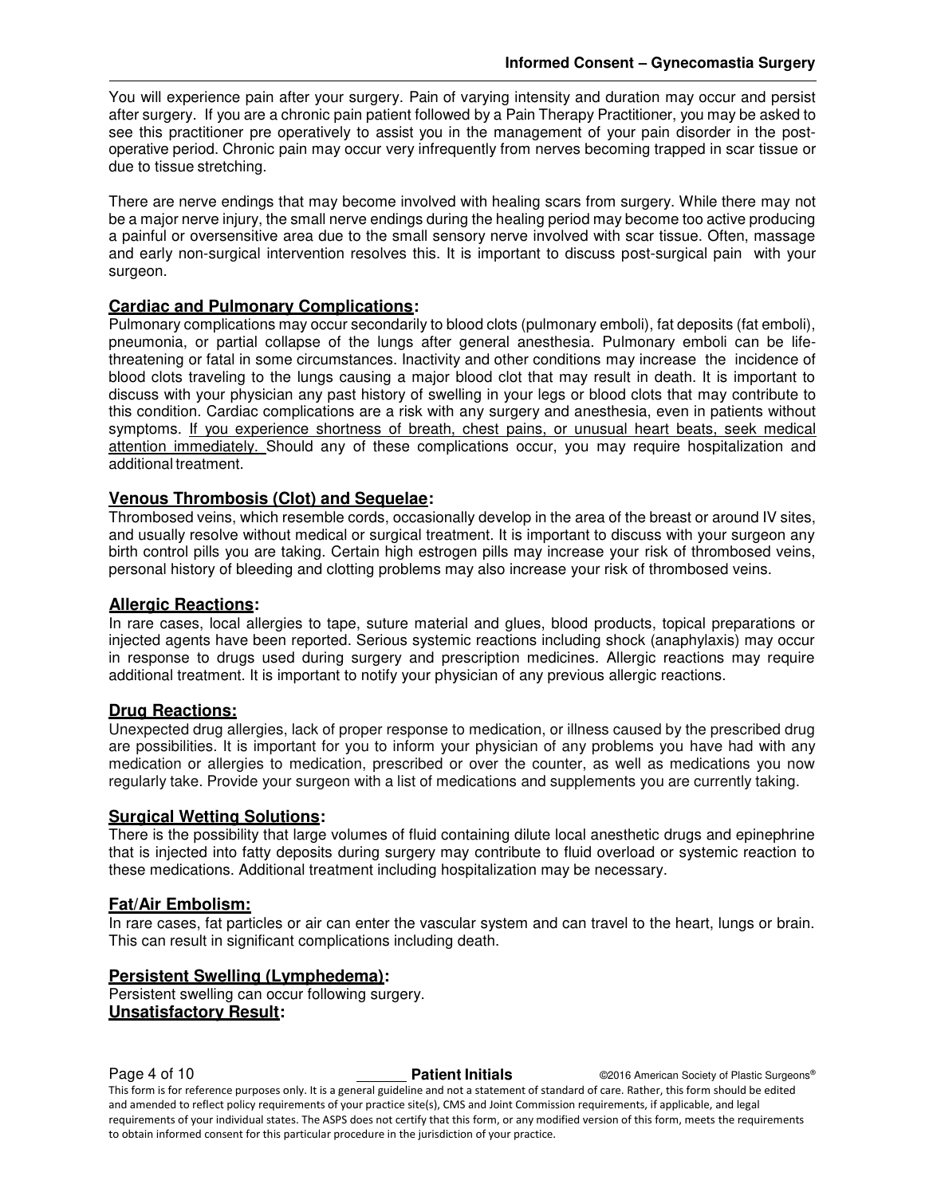You will experience pain after your surgery. Pain of varying intensity and duration may occur and persist after surgery. If you are a chronic pain patient followed by a Pain Therapy Practitioner, you may be asked to see this practitioner pre operatively to assist you in the management of your pain disorder in the postoperative period. Chronic pain may occur very infrequently from nerves becoming trapped in scar tissue or due to tissue stretching.

There are nerve endings that may become involved with healing scars from surgery. While there may not be a major nerve injury, the small nerve endings during the healing period may become too active producing a painful or oversensitive area due to the small sensory nerve involved with scar tissue. Often, massage and early non-surgical intervention resolves this. It is important to discuss post-surgical pain with your surgeon.

#### **Cardiac and Pulmonary Complications:**

Pulmonary complications may occur secondarily to blood clots (pulmonary emboli), fat deposits (fat emboli), pneumonia, or partial collapse of the lungs after general anesthesia. Pulmonary emboli can be lifethreatening or fatal in some circumstances. Inactivity and other conditions may increase the incidence of blood clots traveling to the lungs causing a major blood clot that may result in death. It is important to discuss with your physician any past history of swelling in your legs or blood clots that may contribute to this condition. Cardiac complications are a risk with any surgery and anesthesia, even in patients without symptoms. If you experience shortness of breath, chest pains, or unusual heart beats, seek medical attention immediately. Should any of these complications occur, you may require hospitalization and additional treatment.

### **Venous Thrombosis (Clot) and Sequelae:**

Thrombosed veins, which resemble cords, occasionally develop in the area of the breast or around IV sites, and usually resolve without medical or surgical treatment. It is important to discuss with your surgeon any birth control pills you are taking. Certain high estrogen pills may increase your risk of thrombosed veins, personal history of bleeding and clotting problems may also increase your risk of thrombosed veins.

#### **Allergic Reactions:**

In rare cases, local allergies to tape, suture material and glues, blood products, topical preparations or injected agents have been reported. Serious systemic reactions including shock (anaphylaxis) may occur in response to drugs used during surgery and prescription medicines. Allergic reactions may require additional treatment. It is important to notify your physician of any previous allergic reactions.

#### **Drug Reactions:**

Unexpected drug allergies, lack of proper response to medication, or illness caused by the prescribed drug are possibilities. It is important for you to inform your physician of any problems you have had with any medication or allergies to medication, prescribed or over the counter, as well as medications you now regularly take. Provide your surgeon with a list of medications and supplements you are currently taking.

#### **Surgical Wetting Solutions:**

There is the possibility that large volumes of fluid containing dilute local anesthetic drugs and epinephrine that is injected into fatty deposits during surgery may contribute to fluid overload or systemic reaction to these medications. Additional treatment including hospitalization may be necessary.

#### **Fat/Air Embolism:**

In rare cases, fat particles or air can enter the vascular system and can travel to the heart, lungs or brain. This can result in significant complications including death.

#### **Persistent Swelling (Lymphedema):**

Persistent swelling can occur following surgery. **Unsatisfactory Result:** 

**Page 4 of 10 Patient Initials CONFIDENT CONFIDENT CONFIDENT ACCORDING PARTIC CONFIDENT CONFIDENT CONFIDENT CONFIDENT CONFIDENT CONFIDENT CONFIDENT CONFIDENT CONFIDENT CONFIDENT CONFIDENT CONFIDENT CONFIDENT CONFIDENT** This form is for reference purposes only. It is a general guideline and not a statement of standard of care. Rather, this form should be edited and amended to reflect policy requirements of your practice site(s), CMS and Joint Commission requirements, if applicable, and legal requirements of your individual states. The ASPS does not certify that this form, or any modified version of this form, meets the requirements to obtain informed consent for this particular procedure in the jurisdiction of your practice.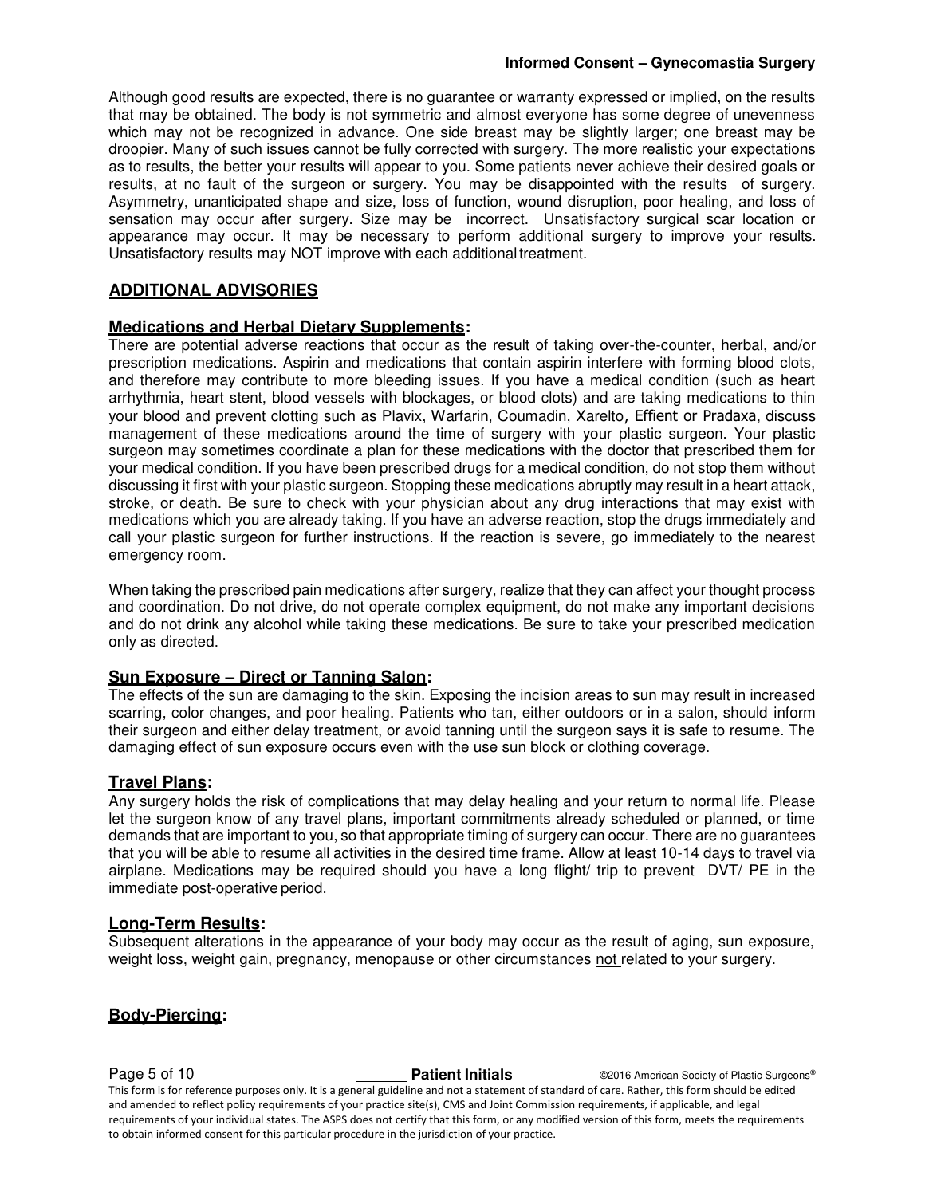Although good results are expected, there is no guarantee or warranty expressed or implied, on the results that may be obtained. The body is not symmetric and almost everyone has some degree of unevenness which may not be recognized in advance. One side breast may be slightly larger; one breast may be droopier. Many of such issues cannot be fully corrected with surgery. The more realistic your expectations as to results, the better your results will appear to you. Some patients never achieve their desired goals or results, at no fault of the surgeon or surgery. You may be disappointed with the results of surgery. Asymmetry, unanticipated shape and size, loss of function, wound disruption, poor healing, and loss of sensation may occur after surgery. Size may be incorrect. Unsatisfactory surgical scar location or appearance may occur. It may be necessary to perform additional surgery to improve your results. Unsatisfactory results may NOT improve with each additional treatment.

### **ADDITIONAL ADVISORIES**

#### **Medications and Herbal Dietary Supplements:**

There are potential adverse reactions that occur as the result of taking over-the-counter, herbal, and/or prescription medications. Aspirin and medications that contain aspirin interfere with forming blood clots, and therefore may contribute to more bleeding issues. If you have a medical condition (such as heart arrhythmia, heart stent, blood vessels with blockages, or blood clots) and are taking medications to thin your blood and prevent clotting such as Plavix, Warfarin, Coumadin, Xarelto, Effient or Pradaxa, discuss management of these medications around the time of surgery with your plastic surgeon. Your plastic surgeon may sometimes coordinate a plan for these medications with the doctor that prescribed them for your medical condition. If you have been prescribed drugs for a medical condition, do not stop them without discussing it first with your plastic surgeon. Stopping these medications abruptly may result in a heart attack, stroke, or death. Be sure to check with your physician about any drug interactions that may exist with medications which you are already taking. If you have an adverse reaction, stop the drugs immediately and call your plastic surgeon for further instructions. If the reaction is severe, go immediately to the nearest emergency room.

When taking the prescribed pain medications after surgery, realize that they can affect your thought process and coordination. Do not drive, do not operate complex equipment, do not make any important decisions and do not drink any alcohol while taking these medications. Be sure to take your prescribed medication only as directed.

#### **Sun Exposure – Direct or Tanning Salon:**

The effects of the sun are damaging to the skin. Exposing the incision areas to sun may result in increased scarring, color changes, and poor healing. Patients who tan, either outdoors or in a salon, should inform their surgeon and either delay treatment, or avoid tanning until the surgeon says it is safe to resume. The damaging effect of sun exposure occurs even with the use sun block or clothing coverage.

#### **Travel Plans:**

Any surgery holds the risk of complications that may delay healing and your return to normal life. Please let the surgeon know of any travel plans, important commitments already scheduled or planned, or time demands that are important to you, so that appropriate timing of surgery can occur. There are no guarantees that you will be able to resume all activities in the desired time frame. Allow at least 10-14 days to travel via airplane. Medications may be required should you have a long flight/ trip to prevent DVT/ PE in the immediate post-operative period.

#### **Long-Term Results:**

Subsequent alterations in the appearance of your body may occur as the result of aging, sun exposure, weight loss, weight gain, pregnancy, menopause or other circumstances not related to your surgery.

#### **Body-Piercing:**

**Page 5 of 10 Patient Initials COVIDENT COVIDENT COVIDENT OP A COVID-10 Patient Initials** COVID-00016 American Society of Plastic Surgeons® This form is for reference purposes only. It is a general guideline and not a statement of standard of care. Rather, this form should be edited and amended to reflect policy requirements of your practice site(s), CMS and Joint Commission requirements, if applicable, and legal requirements of your individual states. The ASPS does not certify that this form, or any modified version of this form, meets the requirements to obtain informed consent for this particular procedure in the jurisdiction of your practice.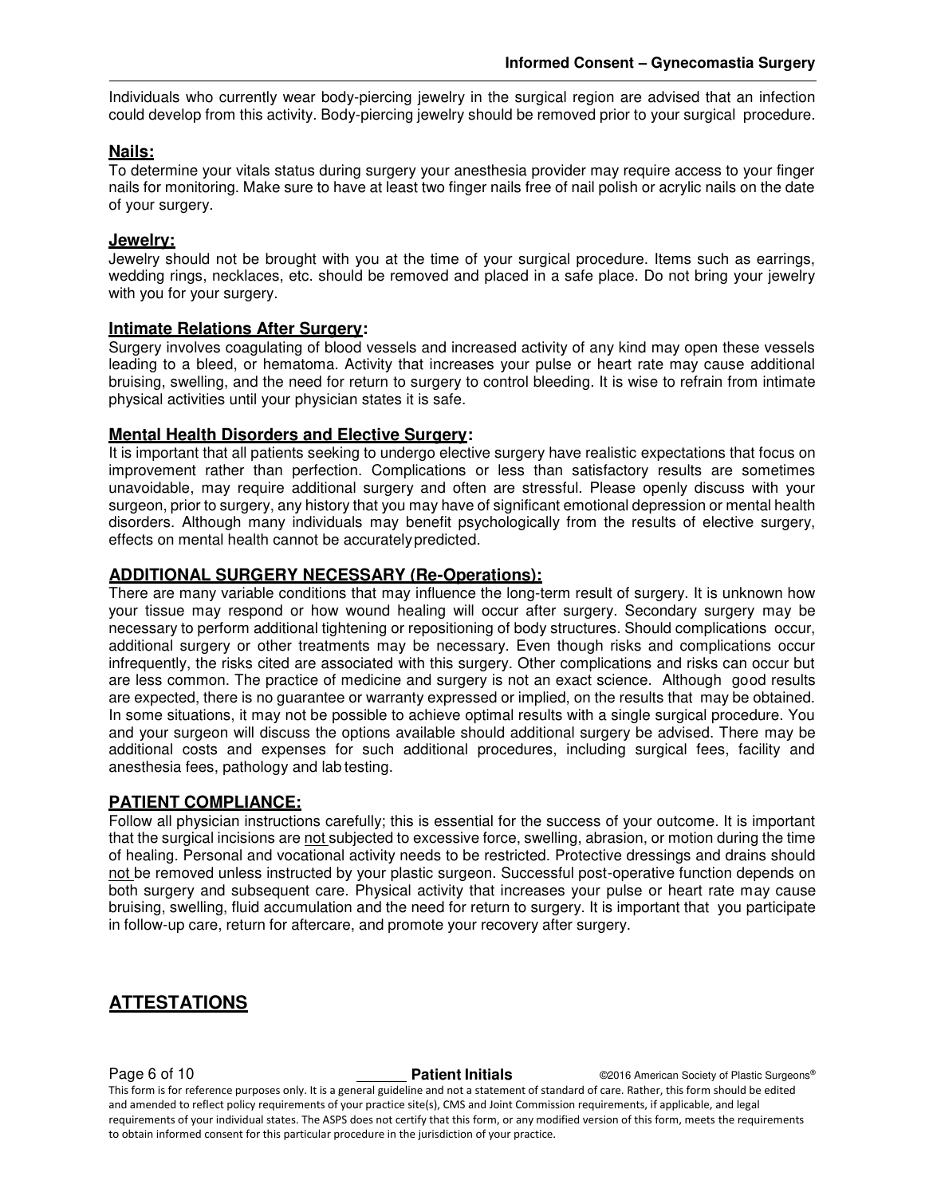Individuals who currently wear body-piercing jewelry in the surgical region are advised that an infection could develop from this activity. Body-piercing jewelry should be removed prior to your surgical procedure.

#### **Nails:**

To determine your vitals status during surgery your anesthesia provider may require access to your finger nails for monitoring. Make sure to have at least two finger nails free of nail polish or acrylic nails on the date of your surgery.

#### **Jewelry:**

Jewelry should not be brought with you at the time of your surgical procedure. Items such as earrings, wedding rings, necklaces, etc. should be removed and placed in a safe place. Do not bring your jewelry with you for your surgery.

#### **Intimate Relations After Surgery:**

Surgery involves coagulating of blood vessels and increased activity of any kind may open these vessels leading to a bleed, or hematoma. Activity that increases your pulse or heart rate may cause additional bruising, swelling, and the need for return to surgery to control bleeding. It is wise to refrain from intimate physical activities until your physician states it is safe.

#### **Mental Health Disorders and Elective Surgery:**

It is important that all patients seeking to undergo elective surgery have realistic expectations that focus on improvement rather than perfection. Complications or less than satisfactory results are sometimes unavoidable, may require additional surgery and often are stressful. Please openly discuss with your surgeon, prior to surgery, any history that you may have of significant emotional depression or mental health disorders. Although many individuals may benefit psychologically from the results of elective surgery, effects on mental health cannot be accurately predicted.

#### **ADDITIONAL SURGERY NECESSARY (Re-Operations):**

There are many variable conditions that may influence the long-term result of surgery. It is unknown how your tissue may respond or how wound healing will occur after surgery. Secondary surgery may be necessary to perform additional tightening or repositioning of body structures. Should complications occur, additional surgery or other treatments may be necessary. Even though risks and complications occur infrequently, the risks cited are associated with this surgery. Other complications and risks can occur but are less common. The practice of medicine and surgery is not an exact science. Although good results are expected, there is no guarantee or warranty expressed or implied, on the results that may be obtained. In some situations, it may not be possible to achieve optimal results with a single surgical procedure. You and your surgeon will discuss the options available should additional surgery be advised. There may be additional costs and expenses for such additional procedures, including surgical fees, facility and anesthesia fees, pathology and lab testing.

#### **PATIENT COMPLIANCE:**

Follow all physician instructions carefully; this is essential for the success of your outcome. It is important that the surgical incisions are not subjected to excessive force, swelling, abrasion, or motion during the time of healing. Personal and vocational activity needs to be restricted. Protective dressings and drains should not be removed unless instructed by your plastic surgeon. Successful post-operative function depends on both surgery and subsequent care. Physical activity that increases your pulse or heart rate may cause bruising, swelling, fluid accumulation and the need for return to surgery. It is important that you participate in follow-up care, return for aftercare, and promote your recovery after surgery.

### **ATTESTATIONS**

#### **Page 6 of 10 Patient Initials COVIDENT COVIDENT OP A COVIDENT OP A COVID-** COVID-10 **Patient Initials** COVID-2016 American Society of Plastic Surgeons®

This form is for reference purposes only. It is a general guideline and not a statement of standard of care. Rather, this form should be edited and amended to reflect policy requirements of your practice site(s), CMS and Joint Commission requirements, if applicable, and legal requirements of your individual states. The ASPS does not certify that this form, or any modified version of this form, meets the requirements to obtain informed consent for this particular procedure in the jurisdiction of your practice.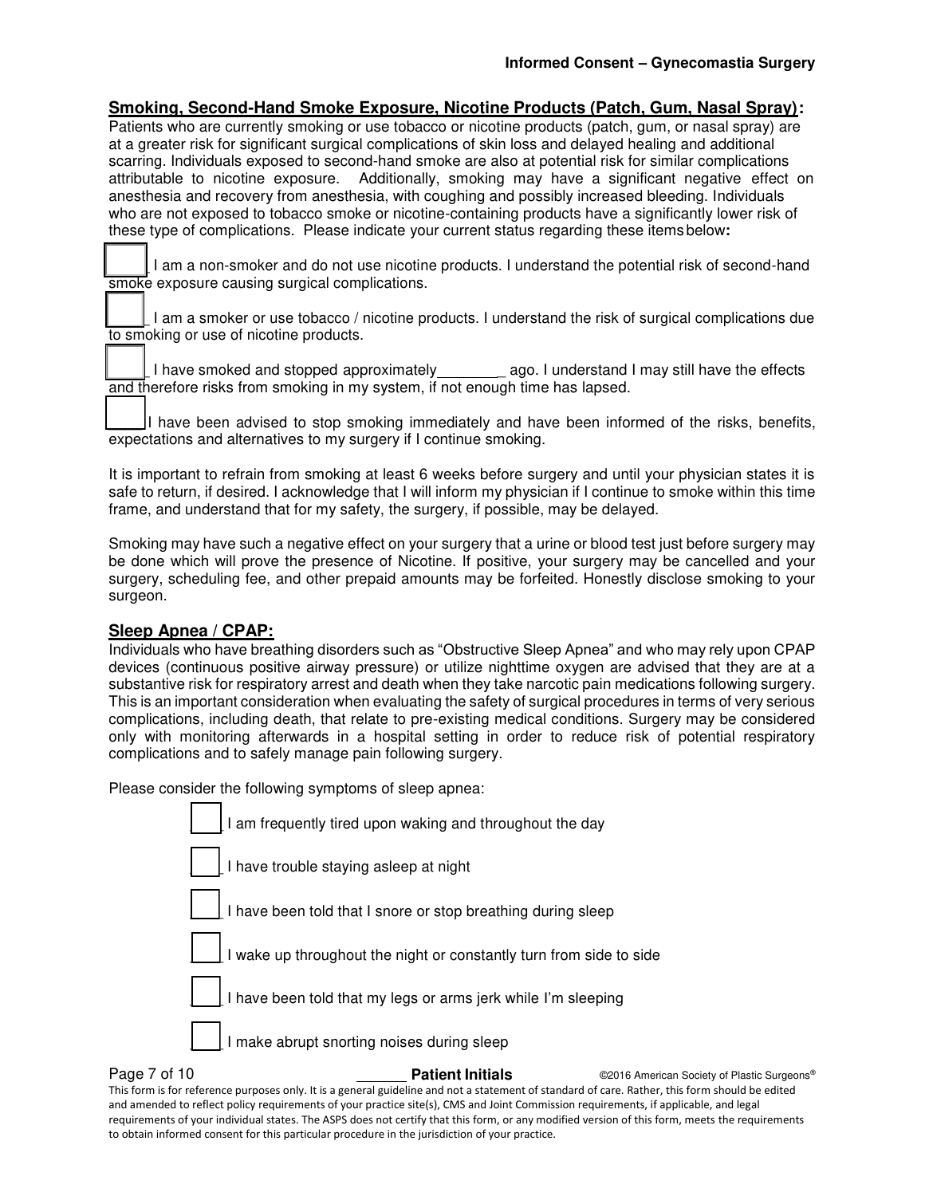#### **Smoking, Second-Hand Smoke Exposure, Nicotine Products (Patch, Gum, Nasal Spray):**

Patients who are currently smoking or use tobacco or nicotine products (patch, gum, or nasal spray) are at a greater risk for significant surgical complications of skin loss and delayed healing and additional scarring. Individuals exposed to second-hand smoke are also at potential risk for similar complications attributable to nicotine exposure. Additionally, smoking may have a significant negative effect on anesthesia and recovery from anesthesia, with coughing and possibly increased bleeding. Individuals who are not exposed to tobacco smoke or nicotine-containing products have a significantly lower risk of these type of complications. Please indicate your current status regarding these items below**:** 

I am a non-smoker and do not use nicotine products. I understand the potential risk of second-hand smoke exposure causing surgical complications.

\_\_\_\_ I am a smoker or use tobacco / nicotine products. I understand the risk of surgical complications due to smoking or use of nicotine products.

I have smoked and stopped approximately ago. I understand I may still have the effects and therefore risks from smoking in my system, if not enough time has lapsed.

I have been advised to stop smoking immediately and have been informed of the risks, benefits, expectations and alternatives to my surgery if I continue smoking.

It is important to refrain from smoking at least 6 weeks before surgery and until your physician states it is safe to return, if desired. I acknowledge that I will inform my physician if I continue to smoke within this time frame, and understand that for my safety, the surgery, if possible, may be delayed.

Smoking may have such a negative effect on your surgery that a urine or blood test just before surgery may be done which will prove the presence of Nicotine. If positive, your surgery may be cancelled and your surgery, scheduling fee, and other prepaid amounts may be forfeited. Honestly disclose smoking to your surgeon.

#### **Sleep Apnea / CPAP:**

Individuals who have breathing disorders such as "Obstructive Sleep Apnea" and who may rely upon CPAP devices (continuous positive airway pressure) or utilize nighttime oxygen are advised that they are at a substantive risk for respiratory arrest and death when they take narcotic pain medications following surgery. This is an important consideration when evaluating the safety of surgical procedures in terms of very serious complications, including death, that relate to pre-existing medical conditions. Surgery may be considered only with monitoring afterwards in a hospital setting in order to reduce risk of potential respiratory complications and to safely manage pain following surgery.

Please consider the following symptoms of sleep apnea:

| Page 7 of 10 | <b>Patient Initials</b>                                             | ©2016 American Society of Plastic Surgeons® |
|--------------|---------------------------------------------------------------------|---------------------------------------------|
|              | I make abrupt snorting noises during sleep                          |                                             |
|              | I have been told that my legs or arms jerk while I'm sleeping       |                                             |
|              | I wake up throughout the night or constantly turn from side to side |                                             |
|              | I have been told that I snore or stop breathing during sleep        |                                             |
|              | I have trouble staying asleep at night                              |                                             |
|              | I am frequently tired upon waking and throughout the day            |                                             |

This form is for reference purposes only. It is a general guideline and not a statement of standard of care. Rather, this form should be edited and amended to reflect policy requirements of your practice site(s), CMS and Joint Commission requirements, if applicable, and legal requirements of your individual states. The ASPS does not certify that this form, or any modified version of this form, meets the requirements to obtain informed consent for this particular procedure in the jurisdiction of your practice.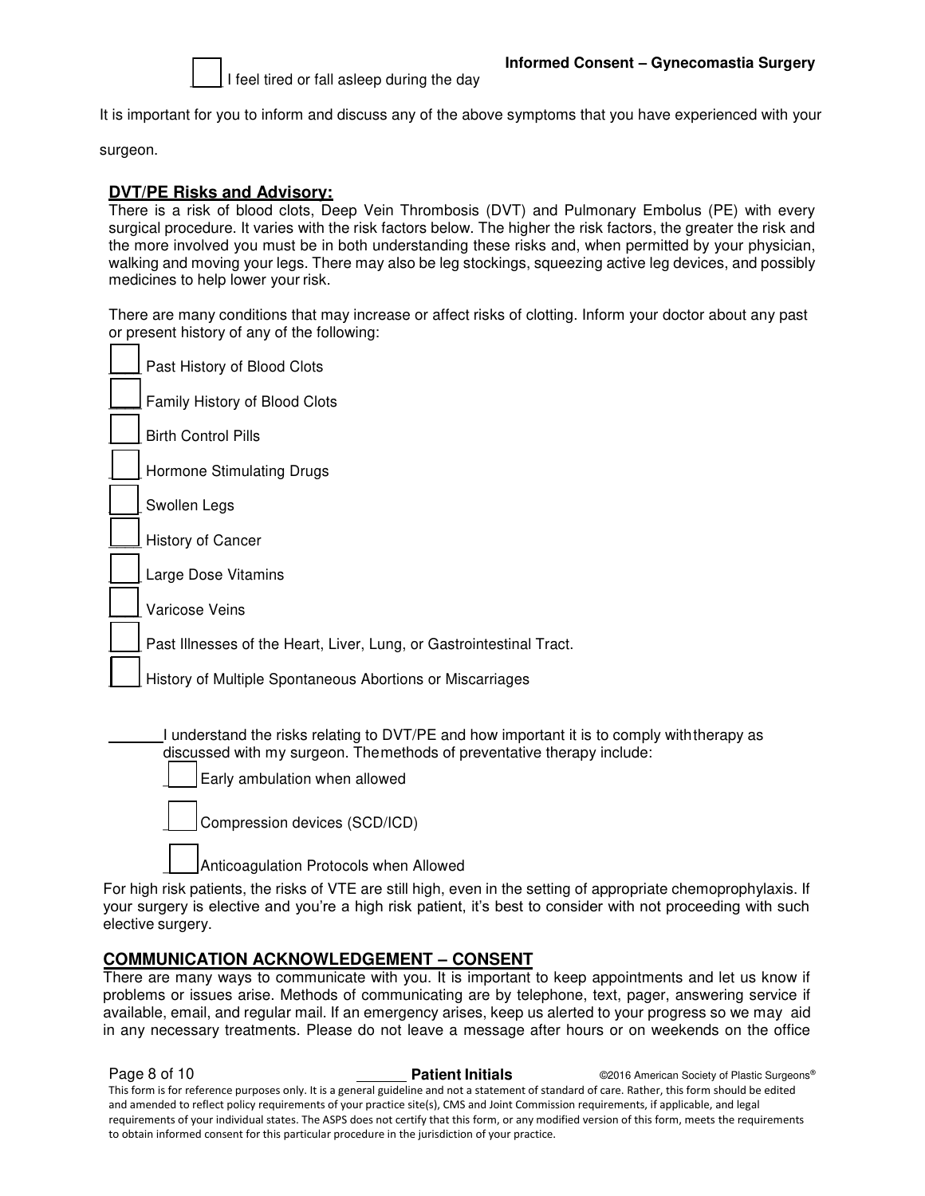

It is important for you to inform and discuss any of the above symptoms that you have experienced with your

surgeon.

### **DVT/PE Risks and Advisory:**

There is a risk of blood clots, Deep Vein Thrombosis (DVT) and Pulmonary Embolus (PE) with every surgical procedure. It varies with the risk factors below. The higher the risk factors, the greater the risk and the more involved you must be in both understanding these risks and, when permitted by your physician, walking and moving your legs. There may also be leg stockings, squeezing active leg devices, and possibly medicines to help lower your risk.

There are many conditions that may increase or affect risks of clotting. Inform your doctor about any past or present history of any of the following:

| Past History of Blood Clots                                                                                                                                            |
|------------------------------------------------------------------------------------------------------------------------------------------------------------------------|
| Family History of Blood Clots                                                                                                                                          |
| <b>Birth Control Pills</b>                                                                                                                                             |
| Hormone Stimulating Drugs                                                                                                                                              |
| Swollen Legs                                                                                                                                                           |
| History of Cancer                                                                                                                                                      |
| Large Dose Vitamins                                                                                                                                                    |
| Varicose Veins                                                                                                                                                         |
| Past Illnesses of the Heart, Liver, Lung, or Gastrointestinal Tract.                                                                                                   |
| History of Multiple Spontaneous Abortions or Miscarriages                                                                                                              |
|                                                                                                                                                                        |
| I understand the risks relating to DVT/PE and how important it is to comply with therapy as<br>discussed with my surgeon. The methods of preventative therapy include: |

Early ambulation when allowed

Compression devices (SCD/ICD)

Anticoagulation Protocols when Allowed

For high risk patients, the risks of VTE are still high, even in the setting of appropriate chemoprophylaxis. If your surgery is elective and you're a high risk patient, it's best to consider with not proceeding with such elective surgery.

#### **COMMUNICATION ACKNOWLEDGEMENT – CONSENT**

There are many ways to communicate with you. It is important to keep appointments and let us know if problems or issues arise. Methods of communicating are by telephone, text, pager, answering service if available, email, and regular mail. If an emergency arises, keep us alerted to your progress so we may aid in any necessary treatments. Please do not leave a message after hours or on weekends on the office

**Page 8 of 10 Patient Initials CONFIDENT CONFIDENT CONFIDENT CONFIDENT** CONFIDENT CONFIDENTS **Patient Initials** CONFIDENT CONFIDENTS **Patient Initials** This form is for reference purposes only. It is a general guideline and not a statement of standard of care. Rather, this form should be edited and amended to reflect policy requirements of your practice site(s), CMS and Joint Commission requirements, if applicable, and legal requirements of your individual states. The ASPS does not certify that this form, or any modified version of this form, meets the requirements to obtain informed consent for this particular procedure in the jurisdiction of your practice.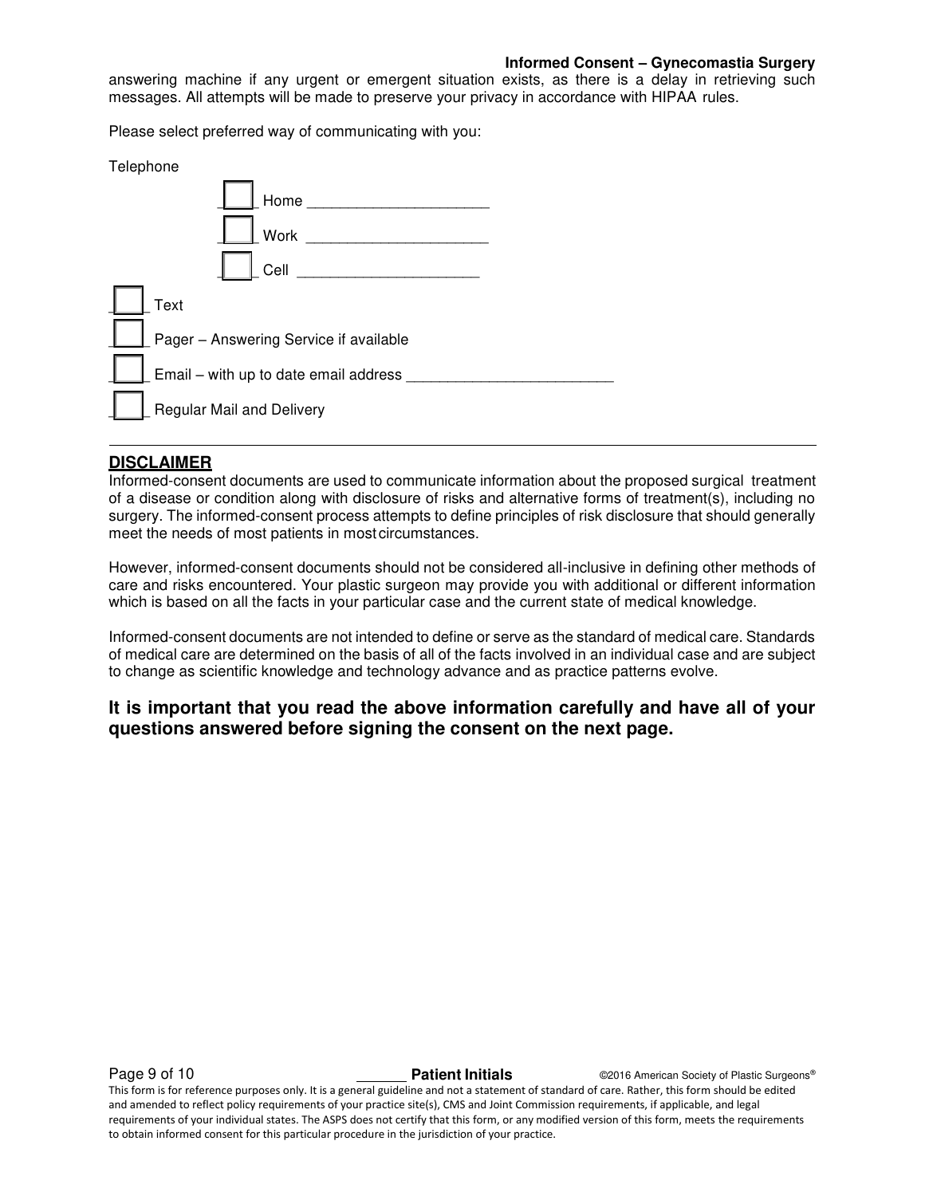#### **Informed Consent – Gynecomastia Surgery**

answering machine if any urgent or emergent situation exists, as there is a delay in retrieving such messages. All attempts will be made to preserve your privacy in accordance with HIPAA rules.

Please select preferred way of communicating with you:

| Telephone                              |
|----------------------------------------|
| Home                                   |
| <b>Work</b>                            |
| Cell                                   |
| Text                                   |
| Pager - Answering Service if available |
| Email - with up to date email address  |
| Regular Mail and Delivery              |

#### **DISCLAIMER**

Informed-consent documents are used to communicate information about the proposed surgical treatment of a disease or condition along with disclosure of risks and alternative forms of treatment(s), including no surgery. The informed-consent process attempts to define principles of risk disclosure that should generally meet the needs of most patients in most circumstances.

However, informed-consent documents should not be considered all-inclusive in defining other methods of care and risks encountered. Your plastic surgeon may provide you with additional or different information which is based on all the facts in your particular case and the current state of medical knowledge.

Informed-consent documents are not intended to define or serve as the standard of medical care. Standards of medical care are determined on the basis of all of the facts involved in an individual case and are subject to change as scientific knowledge and technology advance and as practice patterns evolve.

### **It is important that you read the above information carefully and have all of your questions answered before signing the consent on the next page.**

**Page 9 of 10 Patient Initials CONFIDENT CONFIDENT CONFIDENT CONFIDENT** CONFIDENT CONFIDENTS **Patient Initials** CONFIDENT CONFIDENTS **Patient Initials** 

This form is for reference purposes only. It is a general guideline and not a statement of standard of care. Rather, this form should be edited and amended to reflect policy requirements of your practice site(s), CMS and Joint Commission requirements, if applicable, and legal requirements of your individual states. The ASPS does not certify that this form, or any modified version of this form, meets the requirements to obtain informed consent for this particular procedure in the jurisdiction of your practice.